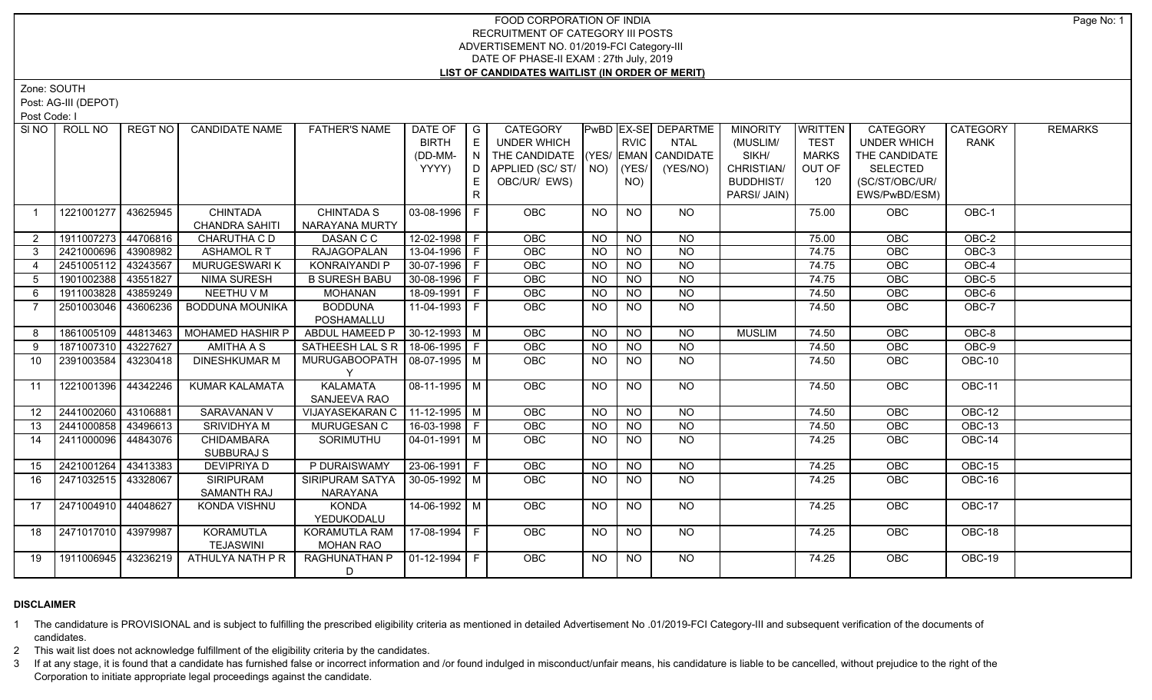Zone: SOUTH

Post: AG-III (DEPOT)

Post Code: I

| SI NO<br>ROLL NO             | REGT NO  | <b>CANDIDATE NAME</b>                    | <b>FATHER'S NAME</b>                | DATE OF<br><b>BIRTH</b><br>(DD-MM- | $\overline{\phantom{a}}$ G<br>$\mathsf{E}$<br>N | CATEGORY<br><b>UNDER WHICH</b><br>THE CANDIDATE (YES/ EMAN CANDIDATE |                | <b>RVIC</b>        | PwBD EX-SE DEPARTME<br><b>NTAL</b> | <b>MINORITY</b><br>(MUSLIM/<br>SIKH/           | <b>WRITTEN</b><br><b>TEST</b><br><b>MARKS</b> | <b>CATEGORY</b><br><b>UNDER WHICH</b><br>THE CANDIDATE | CATEGORY<br><b>RANK</b> | <b>REMARKS</b> |
|------------------------------|----------|------------------------------------------|-------------------------------------|------------------------------------|-------------------------------------------------|----------------------------------------------------------------------|----------------|--------------------|------------------------------------|------------------------------------------------|-----------------------------------------------|--------------------------------------------------------|-------------------------|----------------|
|                              |          |                                          |                                     | YYYY)                              | D<br>E                                          | APPLIED (SC/ST/<br>OBC/UR/ EWS)                                      |                | $NO)$ (YES/<br>NO) | (YES/NO)                           | CHRISTIAN/<br><b>BUDDHIST/</b><br>PARSI/ JAIN) | OUT OF<br>120                                 | <b>SELECTED</b><br>(SC/ST/OBC/UR/<br>EWS/PwBD/ESM)     |                         |                |
| 1221001277<br>$\overline{1}$ | 43625945 | <b>CHINTADA</b><br><b>CHANDRA SAHITI</b> | <b>CHINTADA S</b><br>NARAYANA MURTY | $03-08-1996$   F                   |                                                 | <b>OBC</b>                                                           | NO             | <b>NO</b>          | <b>NO</b>                          |                                                | 75.00                                         | <b>OBC</b>                                             | OBC-1                   |                |
| 1911007273<br>$\overline{2}$ | 44706816 | CHARUTHA C D                             | DASAN C C                           | $12-02-1998$ F                     |                                                 | <b>OBC</b>                                                           | <b>NO</b>      | <b>NO</b>          | <b>NO</b>                          |                                                | 75.00                                         | OBC                                                    | OBC-2                   |                |
| 2421000696<br>3              | 43908982 | <b>ASHAMOL R T</b>                       | <b>RAJAGOPALAN</b>                  | 13-04-1996 F                       |                                                 | OBC                                                                  | <b>NO</b>      | <b>NO</b>          | <b>NO</b>                          |                                                | 74.75                                         | OBC                                                    | OBC-3                   |                |
| 2451005112<br>4              | 43243567 | MURUGESWARI K                            | KONRAIYANDI P                       | 30-07-1996 F                       |                                                 | OBC                                                                  | <b>NO</b>      | <b>NO</b>          | N <sub>O</sub>                     |                                                | 74.75                                         | OBC                                                    | OBC-4                   |                |
| 1901002388<br>5              | 43551827 | <b>NIMA SURESH</b>                       | <b>B SURESH BABU</b>                | 30-08-1996   F                     |                                                 | OBC                                                                  | <b>NO</b>      | <b>NO</b>          | <b>NO</b>                          |                                                | 74.75                                         | OBC                                                    | OBC-5                   |                |
| 1911003828<br>6              | 43859249 | NEETHU V M                               | <b>MOHANAN</b>                      | 18-09-1991 F                       |                                                 | OBC                                                                  | <b>NO</b>      | <b>NO</b>          | <b>NO</b>                          |                                                | 74.50                                         | OBC                                                    | OBC-6                   |                |
| 2501003046                   | 43606236 | <b>BODDUNA MOUNIKA</b>                   | <b>BODDUNA</b><br>POSHAMALLU        | 11-04-1993   F                     |                                                 | OBC                                                                  | <b>NO</b>      | <b>NO</b>          | <b>NO</b>                          |                                                | 74.50                                         | OBC                                                    | OBC-7                   |                |
| 1861005109<br>8              | 44813463 | <b>MOHAMED HASHIR P</b>                  | ABDUL HAMEED P                      | $30-12-1993$ M                     |                                                 | OBC                                                                  | <b>NO</b>      | N <sub>O</sub>     | <b>NO</b>                          | <b>MUSLIM</b>                                  | 74.50                                         | <b>OBC</b>                                             | OBC-8                   |                |
| 1871007310 43227627<br>9     |          | <b>AMITHA A S</b>                        | SATHEESH LAL S R   18-06-1995   F   |                                    |                                                 | OBC                                                                  | $\overline{N}$ | <b>NO</b>          | N <sub>O</sub>                     |                                                | 74.50                                         | OBC                                                    | $OBC-9$                 |                |
| 2391003584<br>10             | 43230418 | <b>DINESHKUMAR M</b>                     | MURUGABOOPATH   08-07-1995   M      |                                    |                                                 | <b>OBC</b>                                                           | NO.            | <b>NO</b>          | $\overline{NQ}$                    |                                                | 74.50                                         | <b>OBC</b>                                             | $OBC-10$                |                |
| 1221001396 44342246<br>11    |          | KUMAR KALAMATA                           | <b>KALAMATA</b><br>SANJEEVA RAO     | $08-11-1995$ M                     |                                                 | <b>OBC</b>                                                           | NO             | $\overline{NO}$    | NO                                 |                                                | 74.50                                         | <b>OBC</b>                                             | OBC-11                  |                |
| 2441002060<br>12             | 43106881 | <b>SARAVANAN V</b>                       | VIJAYASEKARAN C                     | $11-12-1995$ M                     |                                                 | OBC                                                                  | <b>NO</b>      | <b>NO</b>          | $N$ O                              |                                                | 74.50                                         | <b>OBC</b>                                             | $OBC-12$                |                |
| 2441000858<br>13             | 43496613 | <b>SRIVIDHYA M</b>                       | <b>MURUGESAN C</b>                  | 16-03-1998 F                       |                                                 | OBC                                                                  | <b>NO</b>      | $N$ O              | N <sub>O</sub>                     |                                                | 74.50                                         | OBC                                                    | <b>OBC-13</b>           |                |
| 2411000096<br>14             | 44843076 | <b>CHIDAMBARA</b><br>SUBBURAJ S          | SORIMUTHU                           | $04-01-1991$ M                     |                                                 | OBC                                                                  | <b>NO</b>      | <b>NO</b>          | N <sub>O</sub>                     |                                                | 74.25                                         | OBC                                                    | OBC-14                  |                |
| 2421001264<br>15             | 43413383 | <b>DEVIPRIYA D</b>                       | P DURAISWAMY                        | $23 - 06 - 1991$ F                 |                                                 | <b>OBC</b>                                                           | <b>NO</b>      | <b>NO</b>          | $N$ O                              |                                                | 74.25                                         | OBC                                                    | <b>OBC-15</b>           |                |
| 2471032515 43328067<br>16    |          | <b>SIRIPURAM</b><br>SAMANTH RAJ          | SIRIPURAM SATYA<br>NARAYANA         | $30 - 05 - 1992$ M                 |                                                 | OBC                                                                  | <b>NO</b>      | <b>NO</b>          | <b>NO</b>                          |                                                | 74.25                                         | OBC                                                    | OBC-16                  |                |
| 2471004910   44048627<br>17  |          | <b>KONDA VISHNU</b>                      | KONDA<br>YEDUKODALU                 | 14-06-1992 M                       |                                                 | <b>OBC</b>                                                           | NO             | <b>NO</b>          | <b>NO</b>                          |                                                | 74.25                                         | OBC                                                    | OBC-17                  |                |
| 2471017010 43979987<br>18    |          | <b>KORAMUTLA</b><br><b>TEJASWINI</b>     | KORAMUTLA RAM<br><b>MOHAN RAO</b>   | 17-08-1994 F                       |                                                 | <b>OBC</b>                                                           | NO.            | <b>NO</b>          | NO                                 |                                                | 74.25                                         | <b>OBC</b>                                             | OBC-18                  |                |
| 1911006945 43236219<br>19    |          | ATHULYA NATH P R                         | <b>RAGHUNATHAN P</b><br>D           | $01-12-1994$ F                     |                                                 | OBC                                                                  | <b>NO</b>      | <b>NO</b>          | $N$ <sup>O</sup>                   |                                                | 74.25                                         | OBC                                                    | <b>OBC-19</b>           |                |

# **DISCLAIMER**

1 The candidature is PROVISIONAL and is subject to fulfilling the prescribed eligibility criteria as mentioned in detailed Advertisement No .01/2019-FCI Category-III and subsequent verification of the documents of candidates.

2 This wait list does not acknowledge fulfillment of the eligibility criteria by the candidates.

3 If at any stage, it is found that a candidate has furnished false or incorrect information and /or found indulged in misconduct/unfair means, his candidature is liable to be cancelled, without prejudice to the right of t Corporation to initiate appropriate legal proceedings against the candidate.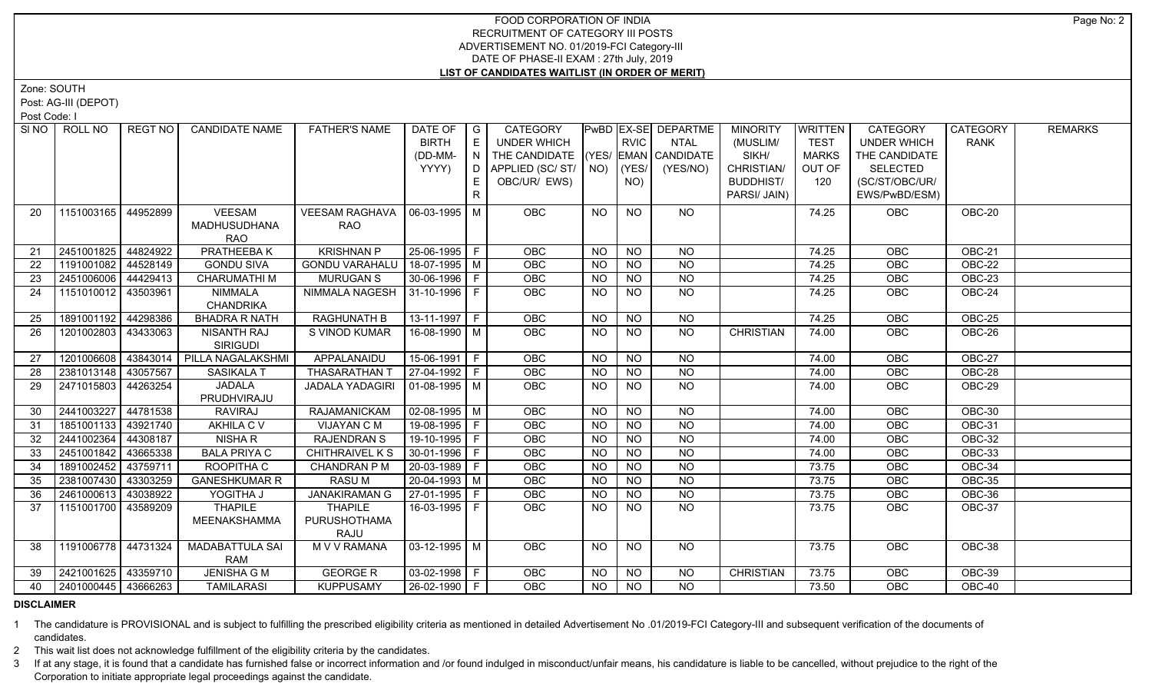Zone: SOUTH

Post: AG-III (DEPOT)

Post Code: I

| SI NO I | ROLL NO             | REGT NO   | <b>CANDIDATE NAME</b>                       | <b>FATHER'S NAME</b>                   | DATE OF<br><b>BIRTH</b><br>(DD-MM-<br>YYYY) | $\overline{\phantom{a}}$ $\overline{\phantom{a}}$<br>E<br>N<br>D<br>E<br>$\mathsf{R}$ | <b>CATEGORY</b><br><b>UNDER WHICH</b><br>THE CANDIDATE (YES/ EMAN CANDIDATE<br>APPLIED (SC/ST/<br>OBC/UR/ EWS) |           | <b>RVIC</b><br>$NO)$ (YES/<br>NO) | <b>PwBD EX-SE DEPARTME</b><br><b>NTAL</b><br>(YES/NO) | <b>MINORITY</b><br>(MUSLIM/<br>SIKH/<br>CHRISTIAN/<br><b>BUDDHIST/</b><br>PARSI/ JAIN) | <b>WRITTEN</b><br><b>TEST</b><br><b>MARKS</b><br>OUT OF<br>120 | <b>CATEGORY</b><br><b>UNDER WHICH</b><br>THE CANDIDATE<br><b>SELECTED</b><br>(SC/ST/OBC/UR/<br>EWS/PwBD/ESM) | CATEGORY<br><b>RANK</b> | <b>REMARKS</b> |
|---------|---------------------|-----------|---------------------------------------------|----------------------------------------|---------------------------------------------|---------------------------------------------------------------------------------------|----------------------------------------------------------------------------------------------------------------|-----------|-----------------------------------|-------------------------------------------------------|----------------------------------------------------------------------------------------|----------------------------------------------------------------|--------------------------------------------------------------------------------------------------------------|-------------------------|----------------|
| 20      | 1151003165 44952899 |           | VEESAM<br><b>MADHUSUDHANA</b><br><b>RAO</b> | <b>VEESAM RAGHAVA</b><br><b>RAO</b>    | $06-03-1995$ M                              |                                                                                       | <b>OBC</b>                                                                                                     | NO.       | <b>NO</b>                         | <b>NO</b>                                             |                                                                                        | 74.25                                                          | OBC                                                                                                          | OBC-20                  |                |
| 21      | 2451001825 44824922 |           | PRATHEEBAK                                  | <b>KRISHNAN P</b>                      | 25-06-1995 F                                |                                                                                       | <b>OBC</b>                                                                                                     | <b>NO</b> | <b>NO</b>                         | <b>NO</b>                                             |                                                                                        | 74.25                                                          | OBC                                                                                                          | OBC-21                  |                |
| 22      | 1191001082 44528149 |           | <b>GONDU SIVA</b>                           | <b>GONDU VARAHALU</b>                  | 18-07-1995   M                              |                                                                                       | OBC                                                                                                            | <b>NO</b> | <b>NO</b>                         | <b>NO</b>                                             |                                                                                        | 74.25                                                          | OBC                                                                                                          | OBC-22                  |                |
| 23      | 2451006006 44429413 |           | <b>CHARUMATHIM</b>                          | <b>MURUGAN S</b>                       | 30-06-1996 F                                |                                                                                       | OBC                                                                                                            | <b>NO</b> | N <sub>O</sub>                    | $N$ O                                                 |                                                                                        | 74.25                                                          | OBC                                                                                                          | <b>OBC-23</b>           |                |
| 24      | 1151010012 43503961 |           | NIMMALA<br><b>CHANDRIKA</b>                 | NIMMALA NAGESH   31-10-1996   F        |                                             |                                                                                       | <b>OBC</b>                                                                                                     | <b>NO</b> | <b>NO</b>                         | <b>NO</b>                                             |                                                                                        | 74.25                                                          | OBC                                                                                                          | $OBC-24$                |                |
| 25      | 1891001192 44298386 |           | <b>BHADRA R NATH</b>                        | <b>RAGHUNATH B</b>                     | $13-11-1997$ F                              |                                                                                       | <b>OBC</b>                                                                                                     | NO        | NO                                | $N$ O                                                 |                                                                                        | 74.25                                                          | <b>OBC</b>                                                                                                   | <b>OBC-25</b>           |                |
| 26      | 1201002803          | 43433063  | <b>NISANTH RAJ</b><br><b>SIRIGUDI</b>       | S VINOD KUMAR                          | 16-08-1990 M                                |                                                                                       | <b>OBC</b>                                                                                                     | NO.       | <b>NO</b>                         | <b>NO</b>                                             | <b>CHRISTIAN</b>                                                                       | 74.00                                                          | OBC                                                                                                          | OBC-26                  |                |
| 27      | 1201006608          | 143843014 | PILLA NAGALAKSHMI                           | APPALANAIDU                            | 15-06-1991 F                                |                                                                                       | <b>OBC</b>                                                                                                     | NO        | <b>NO</b>                         | <b>NO</b>                                             |                                                                                        | 74.00                                                          | OBC                                                                                                          | OBC-27                  |                |
| 28      | 2381013148          | 43057567  | <b>SASIKALA T</b>                           | <b>THASARATHAN</b>                     | 27-04-1992 F                                |                                                                                       | OBC                                                                                                            | <b>NO</b> | <b>NO</b>                         | <b>NO</b>                                             |                                                                                        | 74.00                                                          | OBC                                                                                                          | OBC-28                  |                |
| 29      | 2471015803          | 44263254  | <b>JADALA</b><br>PRUDHVIRAJU                | <b>JADALA YADAGIRI</b>                 | $01-08-1995$ M                              |                                                                                       | <b>OBC</b>                                                                                                     | NO.       | <b>NO</b>                         | <b>NO</b>                                             |                                                                                        | 74.00                                                          | <b>OBC</b>                                                                                                   | OBC-29                  |                |
| 30      | 2441003227          | 44781538  | <b>RAVIRAJ</b>                              | RAJAMANICKAM                           | $02-08-1995$ M                              |                                                                                       | OBC                                                                                                            | <b>NO</b> | N <sub>O</sub>                    | $\overline{NQ}$                                       |                                                                                        | 74.00                                                          | OBC                                                                                                          | <b>OBC-30</b>           |                |
| 31      | 1851001133          | 43921740  | AKHILA C V                                  | VIJAYAN C M                            | 19-08-1995   F                              |                                                                                       | OBC                                                                                                            | <b>NO</b> | $\overline{N}$                    | $\overline{NQ}$                                       |                                                                                        | 74.00                                                          | OBC                                                                                                          | OBC-31                  |                |
| 32      | 2441002364          | 44308187  | NISHA R                                     | <b>RAJENDRAN S</b>                     | 19-10-1995   F                              |                                                                                       | OBC                                                                                                            | <b>NO</b> | <b>NO</b>                         | $\overline{NQ}$                                       |                                                                                        | 74.00                                                          | OBC                                                                                                          | OBC-32                  |                |
| 33      | 2451001842          | 43665338  | <b>BALA PRIYA C</b>                         | CHITHRAIVEL K S                        | $30-01-1996$ F                              |                                                                                       | <b>OBC</b>                                                                                                     | <b>NO</b> | <b>NO</b>                         | <b>NO</b>                                             |                                                                                        | 74.00                                                          | OBC                                                                                                          | OBC-33                  |                |
| 34      | 1891002452          | 43759711  | ROOPITHA C                                  | <b>CHANDRAN P M</b>                    | 20-03-1989 F                                |                                                                                       | <b>OBC</b>                                                                                                     | <b>NO</b> | <b>NO</b>                         | <b>NO</b>                                             |                                                                                        | 73.75                                                          | OBC                                                                                                          | OBC-34                  |                |
| 35      | 2381007430          | 43303259  | <b>GANESHKUMAR R</b>                        | <b>RASUM</b>                           | 20-04-1993 M                                |                                                                                       | OBC                                                                                                            | <b>NO</b> | $\overline{NQ}$                   | $\overline{NQ}$                                       |                                                                                        | 73.75                                                          | OBC                                                                                                          | <b>OBC-35</b>           |                |
| 36      | 2461000613          | 43038922  | YOGITHA J                                   | <b>JANAKIRAMAN G</b>                   | $27-01-1995$ F                              |                                                                                       | OBC                                                                                                            | <b>NO</b> | $\overline{N}$                    | $\overline{NO}$                                       |                                                                                        | 73.75                                                          | OBC                                                                                                          | <b>OBC-36</b>           |                |
| -37     | 1151001700          | 43589209  | <b>THAPILE</b><br>MEENAKSHAMMA              | <b>THAPILE</b><br>PURUSHOTHAMA<br>RAJU | 16-03-1995 F                                |                                                                                       | <b>OBC</b>                                                                                                     | NO.       | <b>NO</b>                         | <b>NO</b>                                             |                                                                                        | 73.75                                                          | OBC                                                                                                          | OBC-37                  |                |
| 38      | 1191006778 44731324 |           | <b>MADABATTULA SAI</b><br><b>RAM</b>        | M V V RAMANA                           | $03 - 12 - 1995$ M                          |                                                                                       | <b>OBC</b>                                                                                                     | NO.       | <b>NO</b>                         | NO                                                    |                                                                                        | 73.75                                                          | <b>OBC</b>                                                                                                   | OBC-38                  |                |
| 39      | 2421001625 43359710 |           | <b>JENISHA G M</b>                          | <b>GEORGE R</b>                        | $03-02-1998$ F                              |                                                                                       | <b>OBC</b>                                                                                                     | <b>NO</b> | <b>NO</b>                         | <b>NO</b>                                             | <b>CHRISTIAN</b>                                                                       | 73.75                                                          | OBC                                                                                                          | <b>OBC-39</b>           |                |
| 40      | 2401000445 43666263 |           | <b>TAMILARASI</b>                           | <b>KUPPUSAMY</b>                       | 26-02-1990 F                                |                                                                                       | <b>OBC</b>                                                                                                     | NO        | <b>NO</b>                         | <b>NO</b>                                             |                                                                                        | 73.50                                                          | OBC                                                                                                          | $OBC-40$                |                |

# **DISCLAIMER**

1 The candidature is PROVISIONAL and is subject to fulfilling the prescribed eligibility criteria as mentioned in detailed Advertisement No .01/2019-FCI Category-III and subsequent verification of the documents of candidates.

2 This wait list does not acknowledge fulfillment of the eligibility criteria by the candidates.

3 If at any stage, it is found that a candidate has furnished false or incorrect information and /or found indulged in misconduct/unfair means, his candidature is liable to be cancelled, without prejudice to the right of t Corporation to initiate appropriate legal proceedings against the candidate.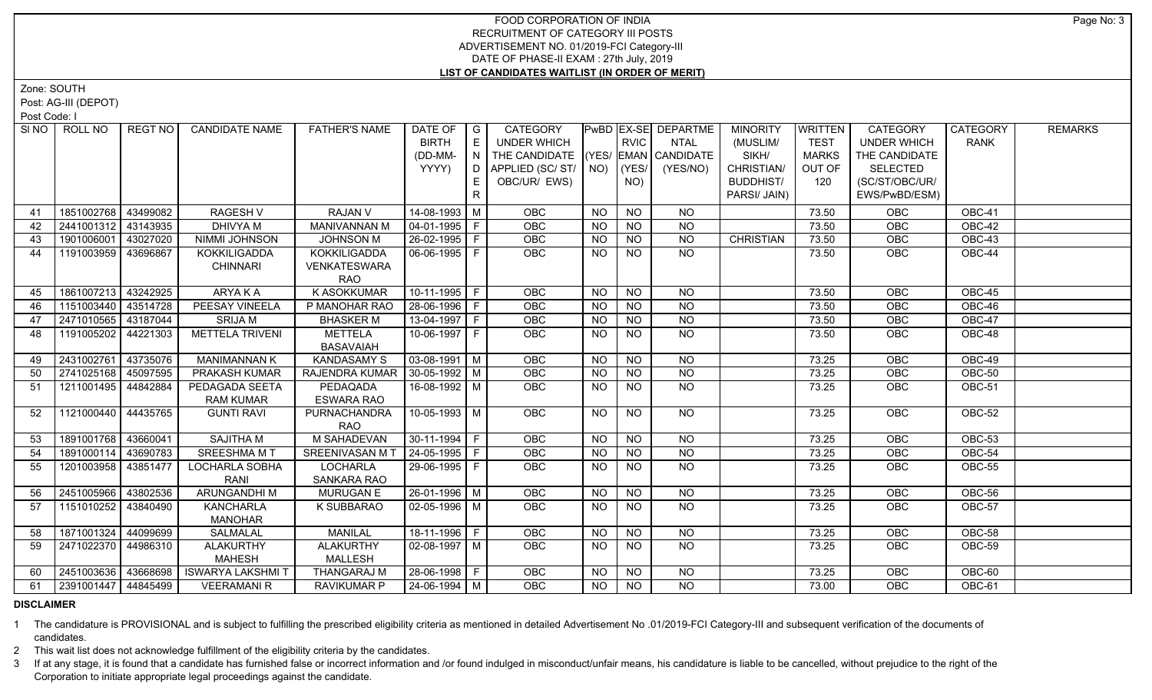Zone: SOUTH

Post: AG-III (DEPOT)

Post Code: I

|    | SINO   ROLL NO      | REGT NO  | <b>CANDIDATE NAME</b>    | <b>FATHER'S NAME</b>          | DATE OF               | G  | CATEGORY                           |                |                | PwBD EX-SE DEPARTME | <b>MINORITY</b>  | <b>WRITTEN</b> | <b>CATEGORY</b>    | <b>CATEGORY</b> | <b>REMARKS</b> |
|----|---------------------|----------|--------------------------|-------------------------------|-----------------------|----|------------------------------------|----------------|----------------|---------------------|------------------|----------------|--------------------|-----------------|----------------|
|    |                     |          |                          |                               | <b>BIRTH</b>          | E  | UNDER WHICH                        |                | <b>RVIC</b>    | <b>NTAL</b>         | (MUSLIM/         | <b>TEST</b>    | <b>UNDER WHICH</b> | <b>RANK</b>     |                |
|    |                     |          |                          |                               | (DD-MM-               | N  | THE CANDIDATE (YES/ EMAN CANDIDATE |                |                |                     | SIKH/            | <b>MARKS</b>   | THE CANDIDATE      |                 |                |
|    |                     |          |                          |                               | YYYY)                 | D  | APPLIED (SC/ ST/   NO)             |                | (YES/          | (YES/NO)            | CHRISTIAN/       | OUT OF         | <b>SELECTED</b>    |                 |                |
|    |                     |          |                          |                               |                       |    | OBC/UR/ EWS)                       |                | NO)            |                     | <b>BUDDHIST/</b> | 120            | (SC/ST/OBC/UR/     |                 |                |
|    |                     |          |                          |                               |                       | R. |                                    |                |                |                     | PARSI/ JAIN)     |                | EWS/PwBD/ESM)      |                 |                |
| 41 | 1851002768          | 43499082 | <b>RAGESH V</b>          | RAJAN V                       | 14-08-1993 M          |    | OBC                                | <b>NO</b>      | <b>NO</b>      | NO.                 |                  | 73.50          | OBC                | OBC-41          |                |
| 42 | 2441001312          | 43143935 | DHIVYA M                 | <b>MANIVANNAN M</b>           | $04-01-1995$   F      |    | <b>OBC</b>                         | <b>NO</b>      | <b>NO</b>      | <b>NO</b>           |                  | 73.50          | <b>OBC</b>         | OBC-42          |                |
| 43 | 1901006001          | 43027020 | NIMMI JOHNSON            | <b>JOHNSON M</b>              | 26-02-1995   F        |    | OBC                                | <b>NO</b>      | NO             | N <sub>O</sub>      | <b>CHRISTIAN</b> | 73.50          | OBC                | OBC-43          |                |
| 44 | 1191003959          | 43696867 | KOKKILIGADDA             | <b>KOKKILIGADDA</b>           | 06-06-1995 F          |    | OBC                                | <b>NO</b>      | <b>NO</b>      | <b>NO</b>           |                  | 73.50          | OBC                | OBC-44          |                |
|    |                     |          | <b>CHINNARI</b>          | <b>VENKATESWARA</b>           |                       |    |                                    |                |                |                     |                  |                |                    |                 |                |
|    |                     |          |                          | RAO                           |                       |    |                                    |                |                |                     |                  |                |                    |                 |                |
| 45 | 1861007213          | 43242925 | ARYAKA                   | <b>K ASOKKUMAR</b>            | $10-11-1995$ F        |    | OBC                                | <b>NO</b>      | $N$ O          | <b>NO</b>           |                  | 73.50          | OBC                | OBC-45          |                |
| 46 | 1151003440 43514728 |          | PEESAY VINEELA           | P MANOHAR RAO                 | 28-06-1996 F          |    | OBC                                | <b>NO</b>      | <b>NO</b>      | <b>NO</b>           |                  | 73.50          | <b>OBC</b>         | OBC-46          |                |
| 47 | 2471010565          | 43187044 | <b>SRIJA M</b>           | <b>BHASKER M</b>              | 13-04-1997 F          |    | OBC                                | <b>NO</b>      | $N$ O          | N <sub>O</sub>      |                  | 73.50          | OBC                | <b>OBC-47</b>   |                |
| 48 | 1191005202          | 44221303 | <b>METTELA TRIVENI</b>   | <b>METTELA</b>                | 10-06-1997 F          |    | OBC                                | <b>NO</b>      | N <sub>O</sub> | N <sub>O</sub>      |                  | 73.50          | <b>OBC</b>         | OBC-48          |                |
|    |                     |          |                          | <b>BASAVAIAH</b>              |                       |    |                                    |                |                |                     |                  |                |                    |                 |                |
| 49 | 2431002761          | 43735076 | <b>MANIMANNAN K</b>      | <b>KANDASAMY S</b>            | $03-08-1991$ M        |    | <b>OBC</b>                         | <b>NO</b>      | N <sub>O</sub> | N <sub>O</sub>      |                  | 73.25          | OBC                | <b>OBC-49</b>   |                |
| 50 | 2741025168          | 45097595 | PRAKASH KUMAR            | RAJENDRA KUMAR 30-05-1992   M |                       |    | OBC                                | <b>NO</b>      | NO             | $N$ O               |                  | 73.25          | OBC                | <b>OBC-50</b>   |                |
| 51 | 1211001495          | 44842884 | PEDAGADA SEETA           | PEDAQADA                      | 16-08-1992 M          |    | OBC                                | <b>NO</b>      | NO             | $N$ O               |                  | 73.25          | OBC                | OBC-51          |                |
|    |                     |          | <b>RAM KUMAR</b>         | <b>ESWARA RAO</b>             |                       |    |                                    |                |                |                     |                  |                |                    |                 |                |
| 52 | 1121000440          | 44435765 | <b>GUNTI RAVI</b>        | PURNACHANDRA                  | 10-05-1993 M          |    | OBC                                | NO.            | <b>NO</b>      | NO                  |                  | 73.25          | OBC                | OBC-52          |                |
|    |                     |          |                          | <b>RAO</b>                    |                       |    |                                    |                |                |                     |                  |                |                    |                 |                |
| 53 | 1891001768          | 43660041 | <b>SAJITHA M</b>         | M SAHADEVAN                   | 30-11-1994 F          |    | OBC                                | <b>NO</b>      | <b>NO</b>      | <b>NO</b>           |                  | 73.25          | OBC                | OBC-53          |                |
| 54 | 1891000114          | 43690783 | <b>SREESHMA M T</b>      | SREENIVASAN M T               | 24-05-1995 F          |    | OBC                                | NO.            | <b>NO</b>      | $\overline{NO}$     |                  | 73.25          | OBC                | OBC-54          |                |
| 55 | 1201003958          | 43851477 | LOCHARLA SOBHA           | <b>LOCHARLA</b>               | 29-06-1995 F          |    | OBC                                | NO.            | NO.            | <b>NO</b>           |                  | 73.25          | OBC                | OBC-55          |                |
|    |                     |          | RANI                     | SANKARA RAO                   |                       |    |                                    |                |                |                     |                  |                |                    |                 |                |
| 56 | 2451005966          | 43802536 | <b>ARUNGANDHIM</b>       | <b>MURUGAN E</b>              | 26-01-1996 M          |    | OBC                                | <b>NO</b>      | <b>NO</b>      | <b>NO</b>           |                  | 73.25          | OBC                | OBC-56          |                |
| 57 | 1151010252          | 43840490 | <b>KANCHARLA</b>         | K SUBBARAO                    | $02 - 05 - 1996$ M    |    | <b>OBC</b>                         | NO.            | N <sub>O</sub> | N <sub>O</sub>      |                  | 73.25          | OBC                | <b>OBC-57</b>   |                |
|    |                     |          | <b>MANOHAR</b>           |                               |                       |    |                                    |                |                |                     |                  |                |                    |                 |                |
| 58 | 1871001324          | 44099699 | <b>SALMALAL</b>          | <b>MANILAL</b>                | 18-11-1996 F          |    | OBC                                | <b>NO</b>      | N <sub>O</sub> | N <sub>O</sub>      |                  | 73.25          | OBC                | <b>OBC-58</b>   |                |
| 59 | 2471022370          | 44986310 | <b>ALAKURTHY</b>         | <b>ALAKURTHY</b>              | $02-08-1997$ M        |    | OBC                                | <b>NO</b>      | N <sub>O</sub> | NO.                 |                  | 73.25          | <b>OBC</b>         | OBC-59          |                |
|    |                     |          | <b>MAHESH</b>            | <b>MALLESH</b>                |                       |    |                                    |                |                |                     |                  |                |                    |                 |                |
| 60 | 2451003636          | 43668698 | <b>ISWARYA LAKSHMI T</b> | <b>THANGARAJ M</b>            | 28-06-1998 F          |    | <b>OBC</b>                         | <b>NO</b>      | <b>NO</b>      | NO.                 |                  | 73.25          | OBC                | OBC-60          |                |
| 61 | 2391001447 44845499 |          | <b>VEERAMANI R</b>       | <b>RAVIKUMAR P</b>            | $\sqrt{24-06-1994}$ M |    | <b>OBC</b>                         | N <sub>O</sub> | <b>NO</b>      | <b>NO</b>           |                  | 73.00          | <b>OBC</b>         | OBC-61          |                |

#### **DISCLAIMER**

1 The candidature is PROVISIONAL and is subject to fulfilling the prescribed eligibility criteria as mentioned in detailed Advertisement No .01/2019-FCI Category-III and subsequent verification of the documents of candidates.

2 This wait list does not acknowledge fulfillment of the eligibility criteria by the candidates.

3 If at any stage, it is found that a candidate has furnished false or incorrect information and /or found indulged in misconduct/unfair means, his candidature is liable to be cancelled, without prejudice to the right of t Corporation to initiate appropriate legal proceedings against the candidate.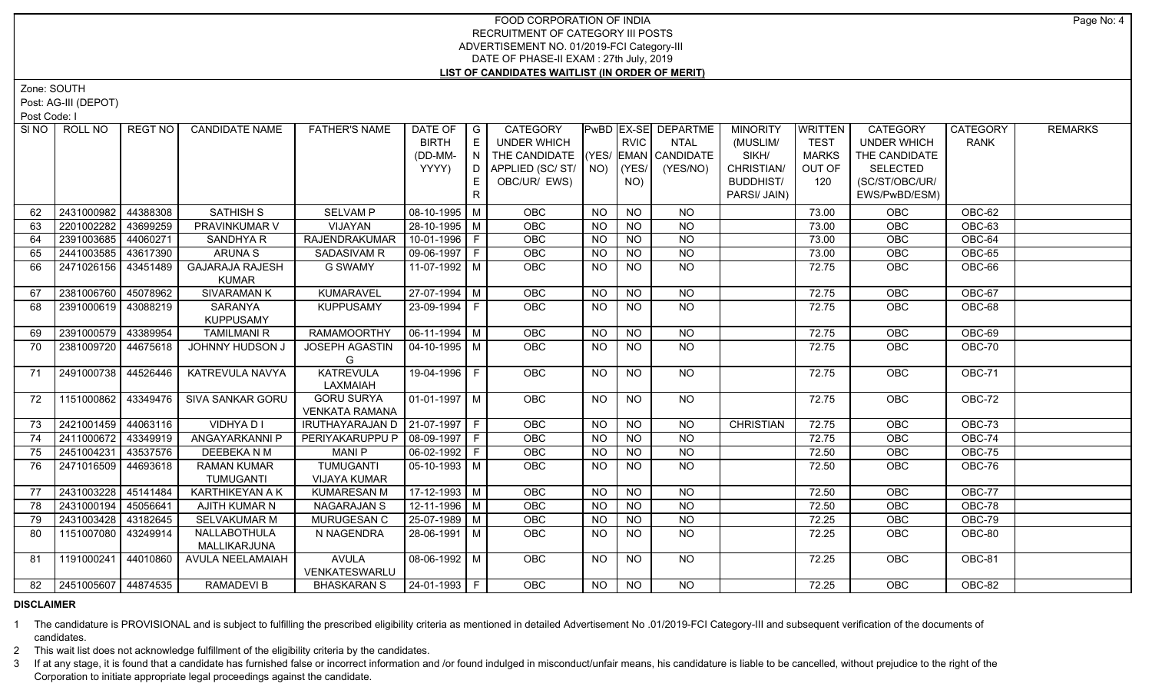Zone: SOUTH

Post: AG-III (DEPOT)

Post Code: I

| SI NO I  | ROLL NO                | REGT NO I | <b>CANDIDATE NAME</b>         | <b>FATHER'S NAME</b>                                      | DATE OF              | $\overline{\phantom{a}}$ $\overline{\phantom{a}}$ | <b>CATEGORY</b>                    |           |                 | <b>PwBD EX-SE DEPARTME</b> | <b>MINORITY</b>  | WRITTEN        | <b>CATEGORY</b>    | CATEGORY      | <b>REMARKS</b> |
|----------|------------------------|-----------|-------------------------------|-----------------------------------------------------------|----------------------|---------------------------------------------------|------------------------------------|-----------|-----------------|----------------------------|------------------|----------------|--------------------|---------------|----------------|
|          |                        |           |                               |                                                           | <b>BIRTH</b>         | E                                                 | <b>UNDER WHICH</b>                 |           | <b>RVIC</b>     | <b>NTAL</b>                | (MUSLIM/         | <b>TEST</b>    | <b>UNDER WHICH</b> | <b>RANK</b>   |                |
|          |                        |           |                               |                                                           | (DD-MM-              | N                                                 | THE CANDIDATE (YES/ EMAN CANDIDATE |           |                 |                            | SIKH/            | <b>MARKS</b>   | THE CANDIDATE      |               |                |
|          |                        |           |                               |                                                           | YYYY)                | D                                                 | APPLIED (SC/ST/                    |           | $NO)$ (YES/     | (YES/NO)                   | CHRISTIAN/       | OUT OF         | <b>SELECTED</b>    |               |                |
|          |                        |           |                               |                                                           |                      | E.                                                | OBC/UR/ EWS)                       |           | NO)             |                            | <b>BUDDHIST/</b> | 120            | (SC/ST/OBC/UR/     |               |                |
|          |                        |           |                               |                                                           |                      | $\mathsf{R}$                                      |                                    |           |                 |                            | PARSI/ JAIN)     |                | EWS/PwBD/ESM)      |               |                |
| 62       | 2431000982             | 44388308  | <b>SATHISH S</b>              | <b>SELVAM P</b>                                           | 08-10-1995 M         |                                                   | <b>OBC</b>                         | NO        | <b>NO</b>       | <b>NO</b>                  |                  | 73.00          | <b>OBC</b>         | OBC-62        |                |
| 63       | 2201002282             | 43699259  | PRAVINKUMAR V                 | VIJAYAN                                                   | 28-10-1995   M       |                                                   | <b>OBC</b>                         | <b>NO</b> | <b>NO</b>       | $N$ O                      |                  | 73.00          | OBC                | <b>OBC-63</b> |                |
| 64       | 2391003685             | 44060271  | SANDHYA R                     | <b>RAJENDRAKUMAR</b>                                      | 10-01-1996 F         |                                                   | OBC                                | <b>NO</b> | <b>NO</b>       | $N$ O                      |                  | 73.00          | OBC                | OBC-64        |                |
| 65       | 2441003585             | 43617390  | ARUNA S                       | SADASIVAM R                                               | 09-06-1997 F         |                                                   | OBC                                | <b>NO</b> | <b>NO</b>       | $N$ O                      |                  | 73.00          | OBC                | OBC-65        |                |
| 66       | 2471026156 43451489    |           | <b>GAJARAJA RAJESH</b>        | <b>G SWAMY</b>                                            | $11-07-1992$ M       |                                                   | <b>OBC</b>                         | NO.       | <b>NO</b>       | $N$ O                      |                  | 72.75          | OBC                | OBC-66        |                |
|          |                        |           | <b>KUMAR</b>                  |                                                           |                      |                                                   |                                    |           |                 |                            |                  |                |                    |               |                |
| 67       | 2381006760             | 45078962  | <b>SIVARAMAN K</b>            | KUMARAVEL                                                 | 27-07-1994 M         |                                                   | OBC                                | <b>NO</b> | <b>NO</b>       | <b>NO</b>                  |                  | 72.75          | OBC                | OBC-67        |                |
| 68       | 2391000619             | 43088219  | SARANYA                       | <b>KUPPUSAMY</b>                                          | 23-09-1994   F       |                                                   | <b>OBC</b>                         | NO.       | <b>NO</b>       | <b>NO</b>                  |                  | 72.75          | OBC                | OBC-68        |                |
|          |                        |           | <b>KUPPUSAMY</b>              |                                                           |                      |                                                   |                                    |           |                 |                            |                  |                |                    |               |                |
| 69       | 2391000579 43389954    |           | <b>TAMILMANI R</b>            | <b>RAMAMOORTHY</b>                                        | $06-11-1994$ M       |                                                   | OBC                                | <b>NO</b> | <b>NO</b>       | <b>NO</b>                  |                  | 72.75          | OBC                | OBC-69        |                |
| 70       | 2381009720 44675618    |           | JOHNNY HUDSON J               | <b>JOSEPH AGASTIN</b>                                     | 04-10-1995   M       |                                                   | OBC                                | <b>NO</b> | $\overline{NQ}$ | $\overline{NQ}$            |                  | 72.75          | <b>OBC</b>         | <b>OBC-70</b> |                |
|          |                        |           |                               | G                                                         |                      |                                                   |                                    |           |                 |                            |                  |                |                    |               |                |
| 71       | 2491000738 44526446    |           | <b>KATREVULA NAVYA</b>        | <b>KATREVULA</b>                                          | 19-04-1996 F         |                                                   | <b>OBC</b>                         | NO        | <b>NO</b>       | NO                         |                  | 72.75          | OBC                | <b>OBC-71</b> |                |
|          |                        |           |                               | LAXMAIAH                                                  |                      |                                                   |                                    |           |                 |                            |                  |                |                    |               |                |
| 72       | 1151000862 43349476    |           | SIVA SANKAR GORU              | <b>GORU SURYA</b>                                         | $01-01-1997$ M       |                                                   | <b>OBC</b>                         | NO.       | <b>NO</b>       | NO                         |                  | 72.75          | OBC                | OBC-72        |                |
| 73       | 2421001459 44063116    |           | VIDHYA D I                    | <b>VENKATA RAMANA</b><br>IRUTHAYARAJAN D   21-07-1997   F |                      |                                                   | <b>OBC</b>                         | <b>NO</b> | <b>NO</b>       | <b>NO</b>                  | <b>CHRISTIAN</b> | 72.75          | OBC                | OBC-73        |                |
|          | 2411000672             | 43349919  |                               | PERIYAKARUPPU P                                           | 08-09-1997 F         |                                                   |                                    | <b>NO</b> | <b>NO</b>       | <b>NO</b>                  |                  |                |                    | OBC-74        |                |
| 74       | 2451004231             | 43537576  | ANGAYARKANNI P<br>DEEBEKA N M | <b>MANIP</b>                                              | 06-02-1992   F       |                                                   | <b>OBC</b><br>OBC                  | <b>NO</b> | <b>NO</b>       | $N$ O                      |                  | 72.75<br>72.50 | OBC<br>OBC         | OBC-75        |                |
| 75<br>76 |                        |           | <b>RAMAN KUMAR</b>            | <b>TUMUGANTI</b>                                          |                      |                                                   |                                    |           |                 | <b>NO</b>                  |                  |                |                    | OBC-76        |                |
|          | 2471016509             | 44693618  | <b>TUMUGANTI</b>              | <b>VIJAYA KUMAR</b>                                       | $05-10-1993$   M     |                                                   | <b>OBC</b>                         | NO.       | <b>NO</b>       |                            |                  | 72.50          | OBC                |               |                |
| 77       | 2431003228             | 45141484  | KARTHIKEYAN A K               | <b>KUMARESAN M</b>                                        | 17-12-1993 M         |                                                   | OBC                                | <b>NO</b> | <b>NO</b>       | <b>NO</b>                  |                  | 72.50          | <b>OBC</b>         | OBC-77        |                |
| 78       | 2431000194             | 45056641  | AJITH KUMAR N                 | <b>NAGARAJAN S</b>                                        | 12-11-1996 M         |                                                   | <b>OBC</b>                         | <b>NO</b> | <b>NO</b>       | <b>NO</b>                  |                  | 72.50          | OBC                | OBC-78        |                |
|          | 2431003428             | 43182645  | SELVAKUMAR M                  | MURUGESAN C                                               | 25-07-1989 M         |                                                   | <b>OBC</b>                         | <b>NO</b> | <b>NO</b>       | <b>NO</b>                  |                  | 72.25          | OBC                | OBC-79        |                |
| 79       | 1151007080             | 43249914  | NALLABOTHULA                  | N NAGENDRA                                                | 28-06-1991   M       |                                                   | <b>OBC</b>                         | <b>NO</b> | <b>NO</b>       | NO.                        |                  | 72.25          | OBC                | OBC-80        |                |
| 80       |                        |           | MALLIKARJUNA                  |                                                           |                      |                                                   |                                    |           |                 |                            |                  |                |                    |               |                |
| 81       | 1191000241             | 44010860  | AVULA NEELAMAIAH              | <b>AVULA</b>                                              | 08-06-1992 M         |                                                   | <b>OBC</b>                         | <b>NO</b> | <b>NO</b>       | NO                         |                  | 72.25          | <b>OBC</b>         | <b>OBC-81</b> |                |
|          |                        |           |                               | VENKATESWARLU                                             |                      |                                                   |                                    |           |                 |                            |                  |                |                    |               |                |
|          | 82 2451005607 44874535 |           | <b>RAMADEVIB</b>              | <b>BHASKARAN S</b>                                        | $ 24 - 01 - 1993 $ F |                                                   | OBC                                | NO.       | NO.             | NO.                        |                  | 72.25          | <b>OBC</b>         | OBC-82        |                |
|          |                        |           |                               |                                                           |                      |                                                   |                                    |           |                 |                            |                  |                |                    |               |                |

#### **DISCLAIMER**

1 The candidature is PROVISIONAL and is subject to fulfilling the prescribed eligibility criteria as mentioned in detailed Advertisement No .01/2019-FCI Category-III and subsequent verification of the documents of candidates.

2 This wait list does not acknowledge fulfillment of the eligibility criteria by the candidates.

3 If at any stage, it is found that a candidate has furnished false or incorrect information and /or found indulged in misconduct/unfair means, his candidature is liable to be cancelled, without prejudice to the right of t Corporation to initiate appropriate legal proceedings against the candidate.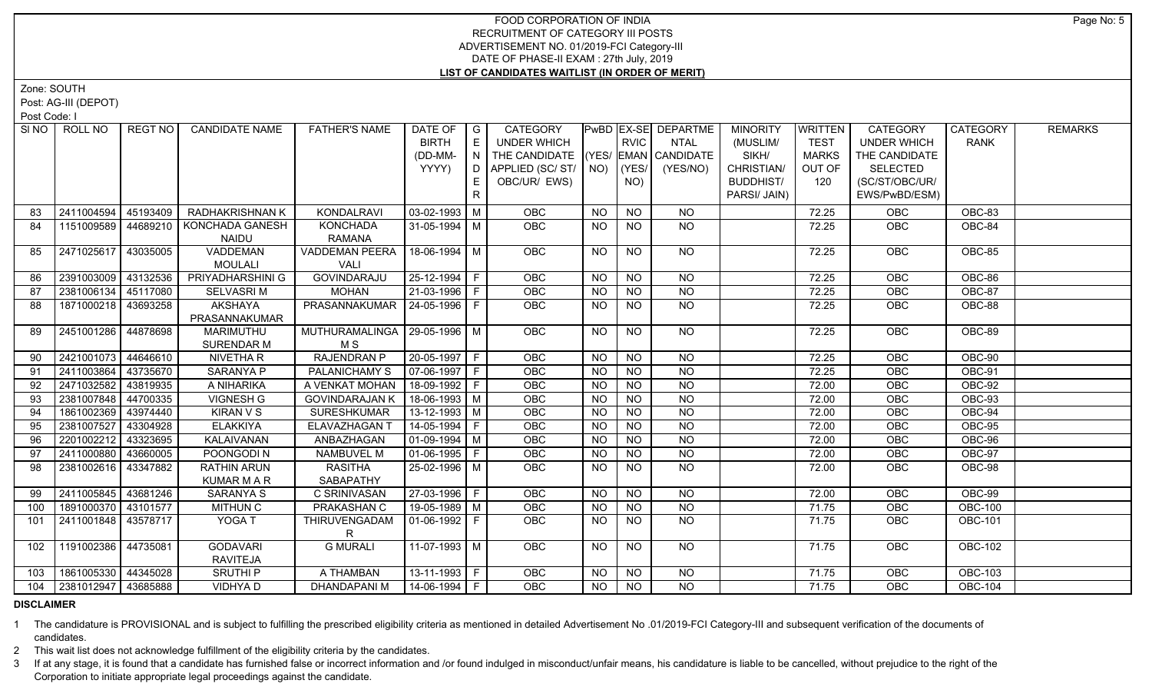Zone: SOUTH

Post: AG-III (DEPOT)

Post Code: I

|     | SINO   ROLL NO        | REGT NO  | <b>CANDIDATE NAME</b>                 | <b>FATHER'S NAME</b>                   | DATE OF<br><b>BIRTH</b><br>(DD-MM-<br>YYYY) | $\overline{\phantom{a}}$ $\overline{\phantom{a}}$<br>E<br> N | <b>CATEGORY</b><br><b>UNDER WHICH</b><br>THE CANDIDATE<br>  D   APPLIED (SC/ ST/   NO)   (YES/ |           | <b>RVIC</b>    | <b>PwBD EX-SE DEPARTME</b><br><b>NTAL</b><br>$ YES/$ EMAN $ $ CANDIDATE<br>(YES/NO) | <b>MINORITY</b><br>(MUSLIM/<br>SIKH/<br>CHRISTIAN/ | WRITTEN<br><b>TEST</b><br><b>MARKS</b><br>OUT OF | <b>CATEGORY</b><br><b>UNDER WHICH</b><br>THE CANDIDATE<br><b>SELECTED</b> | CATEGORY<br><b>RANK</b> | <b>REMARKS</b> |
|-----|-----------------------|----------|---------------------------------------|----------------------------------------|---------------------------------------------|--------------------------------------------------------------|------------------------------------------------------------------------------------------------|-----------|----------------|-------------------------------------------------------------------------------------|----------------------------------------------------|--------------------------------------------------|---------------------------------------------------------------------------|-------------------------|----------------|
|     |                       |          |                                       |                                        |                                             | E.<br>$\mathsf{R}$                                           | OBC/UR/ EWS)                                                                                   |           | NO)            |                                                                                     | <b>BUDDHIST/</b><br>PARSI/ JAIN)                   | 120                                              | (SC/ST/OBC/UR/<br>EWS/PwBD/ESM)                                           |                         |                |
| 83  | 2411004594            | 45193409 | <b>RADHAKRISHNAN K</b>                | KONDALRAVI                             | $\vert$ 03-02-1993 $\vert$ M                |                                                              | <b>OBC</b>                                                                                     | <b>NO</b> | <b>NO</b>      | NO                                                                                  |                                                    | 72.25                                            | <b>OBC</b>                                                                | OBC-83                  |                |
| 84  | 1151009589            | 44689210 | KONCHADA GANESH<br><b>NAIDU</b>       | <b>KONCHADA</b><br>RAMANA              | 31-05-1994 M                                |                                                              | <b>OBC</b>                                                                                     | NO.       | <b>NO</b>      | <b>NO</b>                                                                           |                                                    | 72.25                                            | <b>OBC</b>                                                                | OBC-84                  |                |
| 85  | 2471025617            | 43035005 | VADDEMAN<br><b>MOULALI</b>            | <b>VADDEMAN PEERA</b><br>VALI          | 18-06-1994 M                                |                                                              | OBC                                                                                            | <b>NO</b> | <b>NO</b>      | NO                                                                                  |                                                    | 72.25                                            | <b>OBC</b>                                                                | OBC-85                  |                |
| 86  | 2391003009 43132536   |          | PRIYADHARSHINI G                      | GOVINDARAJU                            | $25 - 12 - 1994$ F                          |                                                              | <b>OBC</b>                                                                                     | <b>NO</b> | <b>NO</b>      | <b>NO</b>                                                                           |                                                    | 72.25                                            | OBC                                                                       | OBC-86                  |                |
| 87  | 2381006134            | 45117080 | <b>SELVASRIM</b>                      | <b>MOHAN</b>                           | 21-03-1996 F                                |                                                              | OBC                                                                                            | <b>NO</b> | <b>NO</b>      | <b>NO</b>                                                                           |                                                    | 72.25                                            | OBC                                                                       | OBC-87                  |                |
| 88  | 1871000218   43693258 |          | AKSHAYA<br>PRASANNAKUMAR              | PRASANNAKUMAR   24-05-1996   F         |                                             |                                                              | OBC                                                                                            | <b>NO</b> | NO.            | <b>NO</b>                                                                           |                                                    | 72.25                                            | OBC                                                                       | OBC-88                  |                |
| 89  | 2451001286 44878698   |          | <b>MARIMUTHU</b><br><b>SURENDAR M</b> | MUTHURAMALINGA   29-05-1996   M<br>M S |                                             |                                                              | <b>OBC</b>                                                                                     | <b>NO</b> | <b>NO</b>      | NO                                                                                  |                                                    | 72.25                                            | <b>OBC</b>                                                                | OBC-89                  |                |
| 90  | 2421001073            | 44646610 | NIVETHA R                             | <b>RAJENDRAN P</b>                     | 20-05-1997 F                                |                                                              | OBC                                                                                            | <b>NO</b> | $N$ O          | NO                                                                                  |                                                    | 72.25                                            | OBC                                                                       | <b>OBC-90</b>           |                |
| 91  | 2411003864            | 43735670 | SARANYA P                             | PALANICHAMY S                          | $\boxed{07-06-1997}$ F                      |                                                              | <b>OBC</b>                                                                                     | <b>NO</b> | $N$ O          | <b>NO</b>                                                                           |                                                    | 72.25                                            | OBC                                                                       | OBC-91                  |                |
| 92  | 2471032582            | 43819935 | A NIHARIKA                            | A VENKAT MOHAN                         | 18-09-1992 F                                |                                                              | OBC                                                                                            | <b>NO</b> | $N$ O          | <b>NO</b>                                                                           |                                                    | 72.00                                            | OBC                                                                       | <b>OBC-92</b>           |                |
| 93  | 2381007848            | 44700335 | VIGNESH G                             | <b>GOVINDARAJAN K</b>                  | 18-06-1993 M                                |                                                              | OBC                                                                                            | <b>NO</b> | <b>NO</b>      | <b>NO</b>                                                                           |                                                    | 72.00                                            | OBC                                                                       | <b>OBC-93</b>           |                |
| 94  | 1861002369            | 43974440 | <b>KIRAN V S</b>                      | <b>SURESHKUMAR</b>                     | 13-12-1993 M                                |                                                              | OBC                                                                                            | <b>NO</b> | <b>NO</b>      | <b>NO</b>                                                                           |                                                    | 72.00                                            | OBC                                                                       | OBC-94                  |                |
| 95  | 2381007527            | 43304928 | <b>ELAKKIYA</b>                       | ELAVAZHAGAN                            | $14-05-1994$ F                              |                                                              | OBC                                                                                            | <b>NO</b> | $N$ O          | $N$ O                                                                               |                                                    | 72.00                                            | OBC                                                                       | <b>OBC-95</b>           |                |
| 96  | 2201002212            | 43323695 | KALAIVANAN                            | ANBAZHAGAN                             | $\boxed{01-09-1994}$ M                      |                                                              | <b>OBC</b>                                                                                     | <b>NO</b> | $N$ O          | N <sub>O</sub>                                                                      |                                                    | 72.00                                            | OBC                                                                       | OBC-96                  |                |
| 97  | 2411000880            | 43660005 | POONGODI N                            | NAMBUVEL M                             | $\boxed{01-06-1995}$ F                      |                                                              | OBC                                                                                            | <b>NO</b> | <b>NO</b>      | $N$ O                                                                               |                                                    | 72.00                                            | OBC                                                                       | <b>OBC-97</b>           |                |
| 98  | 2381002616   43347882 |          | RATHIN ARUN<br><b>KUMAR M A R</b>     | <b>RASITHA</b><br>SABAPATHY            | 25-02-1996 M                                |                                                              | OBC                                                                                            | NO.       | NO.            | NO                                                                                  |                                                    | 72.00                                            | OBC                                                                       | <b>OBC-98</b>           |                |
| 99  | 2411005845 43681246   |          | SARANYA S                             | C SRINIVASAN                           | 27-03-1996 F                                |                                                              | <b>OBC</b>                                                                                     | <b>NO</b> | <b>NO</b>      | <b>NO</b>                                                                           |                                                    | 72.00                                            | OBC                                                                       | OBC-99                  |                |
| 100 | 1891000370            | 43101577 | <b>MITHUN C</b>                       | PRAKASHAN C                            | 19-05-1989 M                                |                                                              | OBC                                                                                            | <b>NO</b> | <b>NO</b>      | <b>NO</b>                                                                           |                                                    | 71.75                                            | OBC                                                                       | <b>OBC-100</b>          |                |
| 101 | 2411001848 43578717   |          | YOGA T                                | THIRUVENGADAM                          | 01-06-1992   F                              |                                                              | <b>OBC</b>                                                                                     | <b>NO</b> | N <sub>O</sub> | NO                                                                                  |                                                    | 71.75                                            | OBC                                                                       | <b>OBC-101</b>          |                |
| 102 | 1191002386            | 44735081 | <b>GODAVARI</b><br>RAVITEJA           | <b>G MURALI</b>                        | 11-07-1993 M                                |                                                              | <b>OBC</b>                                                                                     | <b>NO</b> | <b>NO</b>      | NO.                                                                                 |                                                    | 71.75                                            | <b>OBC</b>                                                                | <b>OBC-102</b>          |                |
| 103 | 1861005330 44345028   |          | <b>SRUTHIP</b>                        | A THAMBAN                              | $13-11-1993$ F                              |                                                              | <b>OBC</b>                                                                                     | <b>NO</b> | <b>NO</b>      | NO                                                                                  |                                                    | 71.75                                            | <b>OBC</b>                                                                | <b>OBC-103</b>          |                |
| 104 | 2381012947   43685888 |          | VIDHYA D                              | DHANDAPANI M                           | $14-06-1994$ F                              |                                                              | <b>OBC</b>                                                                                     | NO.       | NO.            | <b>NO</b>                                                                           |                                                    | 71.75                                            | OBC                                                                       | <b>OBC-104</b>          |                |

# **DISCLAIMER**

1 The candidature is PROVISIONAL and is subject to fulfilling the prescribed eligibility criteria as mentioned in detailed Advertisement No .01/2019-FCI Category-III and subsequent verification of the documents of candidates.

2 This wait list does not acknowledge fulfillment of the eligibility criteria by the candidates.

3 If at any stage, it is found that a candidate has furnished false or incorrect information and /or found indulged in misconduct/unfair means, his candidature is liable to be cancelled, without prejudice to the right of t Corporation to initiate appropriate legal proceedings against the candidate.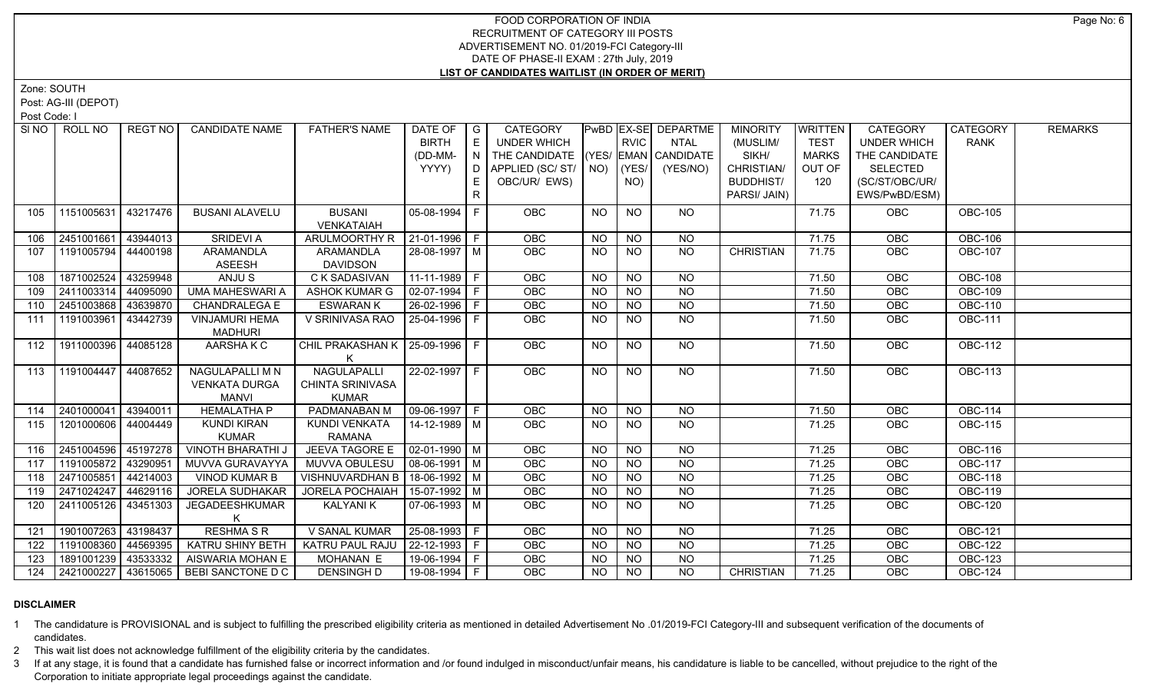Zone: SOUTH

Post: AG-III (DEPOT)

Post Code: I

|     | SINO FROLL NO       | REGT NO  | <b>CANDIDATE NAME</b>      | <b>FATHER'S NAME</b>               | DATE OF $ G $         |    | CATEGORY                           |           |             | <b>PwBD EX-SE DEPARTME</b> | <b>MINORITY</b>  | <b>WRITTEN</b> | <b>CATEGORY</b>    | CATEGORY       | <b>REMARKS</b> |
|-----|---------------------|----------|----------------------------|------------------------------------|-----------------------|----|------------------------------------|-----------|-------------|----------------------------|------------------|----------------|--------------------|----------------|----------------|
|     |                     |          |                            |                                    | <b>BIRTH</b>          | E  | <b>UNDER WHICH</b>                 |           | <b>RVIC</b> | <b>NTAL</b>                | (MUSLIM/         | <b>TEST</b>    | <b>UNDER WHICH</b> | <b>RANK</b>    |                |
|     |                     |          |                            |                                    | (DD-MM-               | N  | THE CANDIDATE (YES/ EMAN CANDIDATE |           |             |                            | SIKH/            | <b>MARKS</b>   | THE CANDIDATE      |                |                |
|     |                     |          |                            |                                    | YYYY)                 | D. | APPLIED (SC/ ST/   NO)             |           | (YES/       | (YES/NO)                   | CHRISTIAN/       | OUT OF         | <b>SELECTED</b>    |                |                |
|     |                     |          |                            |                                    |                       |    | OBC/UR/ EWS)                       |           | NO)         |                            | <b>BUDDHIST/</b> | 120            | (SC/ST/OBC/UR/     |                |                |
|     |                     |          |                            |                                    |                       | R  |                                    |           |             |                            | PARSI/ JAIN)     |                | EWS/PwBD/ESM)      |                |                |
| 105 | 1151005631 43217476 |          | <b>BUSANI ALAVELU</b>      | <b>BUSANI</b><br><b>VENKATAIAH</b> | 05-08-1994            |    | OBC                                | <b>NO</b> | <b>NO</b>   | NO                         |                  | 71.75          | OBC                | <b>OBC-105</b> |                |
| 106 | 2451001661          | 43944013 | <b>SRIDEVI A</b>           | ARULMOORTHY R                      | $ 21-01-1996 F$       |    | OBC                                | <b>NO</b> | <b>NO</b>   | <b>NO</b>                  |                  | 71.75          | OBC                | <b>OBC-106</b> |                |
| 107 | 1191005794 44400198 |          | ARAMANDLA<br><b>ASEESH</b> | ARAMANDLA<br><b>DAVIDSON</b>       | 28-08-1997   M        |    | <b>OBC</b>                         | NO.       | <b>NO</b>   | <b>NO</b>                  | <b>CHRISTIAN</b> | 71.75          | <b>OBC</b>         | <b>OBC-107</b> |                |
| 108 | 1871002524          | 43259948 | ANJU S                     | <b>C K SADASIVAN</b>               | $11-11-1989$ F        |    | OBC                                | <b>NO</b> | <b>NO</b>   | <b>NO</b>                  |                  | 71.50          | OBC                | <b>OBC-108</b> |                |
| 109 | 2411003314 44095090 |          | <b>UMA MAHESWARI A</b>     | ASHOK KUMAR G                      | 02-07-1994 F          |    | OBC                                | NO.       | <b>NO</b>   | $\overline{NO}$            |                  | 71.50          | <b>OBC</b>         | <b>OBC-109</b> |                |
| 110 | 2451003868 43639870 |          | <b>CHANDRALEGA E</b>       | <b>ESWARAN K</b>                   | 26-02-1996 F          |    | OBC                                | <b>NO</b> | <b>NO</b>   | <b>NO</b>                  |                  | 71.50          | OBC                | <b>OBC-110</b> |                |
| 111 | 1191003961          | 43442739 | <b>VINJAMURI HEMA</b>      | V SRINIVASA RAO                    | I 25-04-1996 F        |    | <b>OBC</b>                         | NO.       | <b>NO</b>   | <b>NO</b>                  |                  | 71.50          | <b>OBC</b>         | <b>OBC-111</b> |                |
| 112 | 1911000396 44085128 |          | MADHURI<br>AARSHAKC        | CHIL PRAKASHAN K   25-09-1996   F  |                       |    | <b>OBC</b>                         | NO.       | <b>NO</b>   | NO.                        |                  | 71.50          | <b>OBC</b>         | <b>OBC-112</b> |                |
|     |                     |          |                            |                                    |                       |    |                                    |           |             |                            |                  |                |                    |                |                |
| 113 | 1191004447 44087652 |          | NAGULAPALLI M N            | NAGULAPALLI                        |                       |    | <b>OBC</b>                         | NO.       | NO.         | NO.                        |                  | 71.50          | OBC                | <b>OBC-113</b> |                |
|     |                     |          | <b>VENKATA DURGA</b>       | <b>CHINTA SRINIVASA</b>            |                       |    |                                    |           |             |                            |                  |                |                    |                |                |
|     |                     |          | MANVI                      | <b>KUMAR</b>                       |                       |    |                                    |           |             |                            |                  |                |                    |                |                |
| 114 | 2401000041          | 43940011 | <b>HEMALATHA P</b>         | PADMANABAN M                       | $ 09-06-1997 F$       |    | OBC                                | <b>NO</b> | <b>NO</b>   | <b>NO</b>                  |                  | 71.50          | <b>OBC</b>         | <b>OBC-114</b> |                |
| 115 | 1201000606 44004449 |          | <b>KUNDI KIRAN</b>         | KUNDI VENKATA                      | 14-12-1989   M        |    | <b>OBC</b>                         | NO.       | <b>NO</b>   | NO                         |                  | 71.25          | <b>OBC</b>         | <b>OBC-115</b> |                |
|     |                     |          | <b>KUMAR</b>               | <b>RAMANA</b>                      |                       |    |                                    |           |             |                            |                  |                |                    |                |                |
| 116 | 2451004596 45197278 |          | <b>VINOTH BHARATHI J</b>   | <b>JEEVA TAGORE E</b>              | $\sqrt{02-01-1990}$ M |    | <b>OBC</b>                         | NO.       | <b>NO</b>   | <b>NO</b>                  |                  | 71.25          | <b>OBC</b>         | <b>OBC-116</b> |                |
| 117 | 1191005872 43290951 |          | MUVVA GURAVAYYA            | MUVVA OBULESU                      | $\sqrt{08-06-1991}$ M |    | OBC                                | <b>NO</b> | <b>NO</b>   | $N$ O                      |                  | 71.25          | OBC                | <b>OBC-117</b> |                |
| 118 | 2471005851          | 44214003 | <b>VINOD KUMAR B</b>       | VISHNUVARDHAN B   18-06-1992   M   |                       |    | OBC                                | <b>NO</b> | $N$ O       | $N$ O                      |                  | 71.25          | OBC                | <b>OBC-118</b> |                |
| 119 | 2471024247          | 44629116 | <b>JORELA SUDHAKAR</b>     | JORELA POCHAIAH   15-07-1992   M   |                       |    | OBC                                | NO.       | <b>NO</b>   | N <sub>O</sub>             |                  | 71.25          | OBC                | <b>OBC-119</b> |                |
| 120 | 2411005126 43451303 |          | JEGADEESHKUMAR             | <b>KALYANIK</b>                    | 07-06-1993 M          |    | OBC                                | NO.       | <b>NO</b>   | <b>NO</b>                  |                  | 71.25          | <b>OBC</b>         | <b>OBC-120</b> |                |
| 121 | 1901007263 43198437 |          | <b>RESHMA S R</b>          | V SANAL KUMAR                      | 25-08-1993 F          |    | <b>OBC</b>                         | <b>NO</b> | $N$ O       | $N$ O                      |                  | 71.25          | <b>OBC</b>         | <b>OBC-121</b> |                |
| 122 | 1191008360 44569395 |          | KATRU SHINY BETH           | KATRU PAUL RAJU   22-12-1993   F   |                       |    | OBC                                | <b>NO</b> | <b>NO</b>   | <b>NO</b>                  |                  | 71.25          | <b>OBC</b>         | <b>OBC-122</b> |                |
| 123 | 1891001239 43533332 |          | AISWARIA MOHAN E           | MOHANAN E                          | 19-06-1994   F        |    | OBC                                | <b>NO</b> | <b>NO</b>   | $N$ O                      |                  | 71.25          | OBC                | <b>OBC-123</b> |                |
| 124 | 2421000227 43615065 |          | BEBI SANCTONE D C          | <b>DENSINGH D</b>                  | 19-08-1994 F          |    | OBC                                | <b>NO</b> | $N$ O       | <b>NO</b>                  | <b>CHRISTIAN</b> | 71.25          | OBC                | <b>OBC-124</b> |                |
|     |                     |          |                            |                                    |                       |    |                                    |           |             |                            |                  |                |                    |                |                |

# **DISCLAIMER**

1 The candidature is PROVISIONAL and is subject to fulfilling the prescribed eligibility criteria as mentioned in detailed Advertisement No .01/2019-FCI Category-III and subsequent verification of the documents of candidates.

2 This wait list does not acknowledge fulfillment of the eligibility criteria by the candidates.

3 If at any stage, it is found that a candidate has furnished false or incorrect information and /or found indulged in misconduct/unfair means, his candidature is liable to be cancelled, without prejudice to the right of t Corporation to initiate appropriate legal proceedings against the candidate.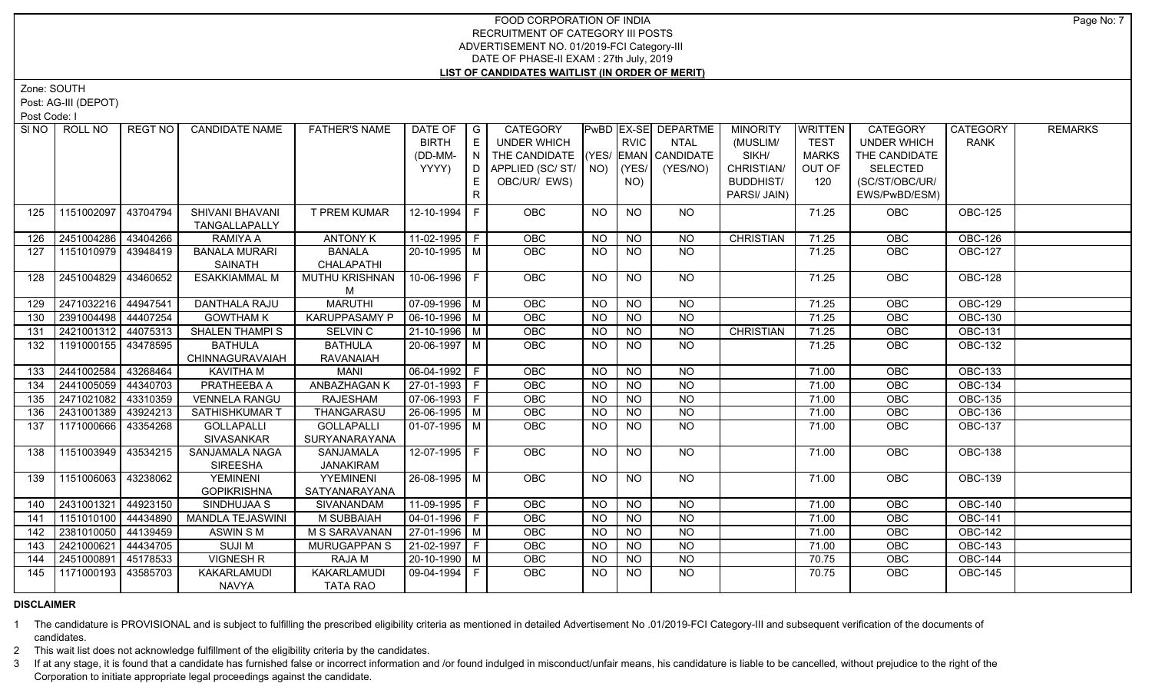Zone: SOUTH

Post: AG-III (DEPOT)

Post Code: I

| SINO | ROLL NO             | REGT NO  | <b>CANDIDATE NAME</b>                    | <b>FATHER'S NAME</b>               | DATE OF<br><b>BIRTH</b> | $\overline{\phantom{a}}$ $\overline{\phantom{a}}$ | CATEGORY<br><b>UNDER WHICH</b>                            |                 | <b>RVIC</b>     | PwBD EX-SE DEPARTME | <b>MINORITY</b>   | WRITTEN<br><b>TEST</b> | <b>CATEGORY</b>                     | CATEGORY       | <b>REMARKS</b> |
|------|---------------------|----------|------------------------------------------|------------------------------------|-------------------------|---------------------------------------------------|-----------------------------------------------------------|-----------------|-----------------|---------------------|-------------------|------------------------|-------------------------------------|----------------|----------------|
|      |                     |          |                                          |                                    |                         | E                                                 |                                                           |                 |                 | <b>NTAL</b>         | (MUSLIM/<br>SIKH/ |                        | <b>UNDER WHICH</b><br>THE CANDIDATE | <b>RANK</b>    |                |
|      |                     |          |                                          |                                    | (DD-MM-<br>YYYY)        | $\overline{N}$<br>D.                              | THE CANDIDATE (YES/ EMAN CANDIDATE<br>APPLIED (SC/ST/ NO) |                 | (YES/           |                     | CHRISTIAN/        | <b>MARKS</b><br>OUT OF | <b>SELECTED</b>                     |                |                |
|      |                     |          |                                          |                                    |                         |                                                   | OBC/UR/ EWS)                                              |                 |                 | (YES/NO)            | <b>BUDDHIST/</b>  | 120                    | (SC/ST/OBC/UR/                      |                |                |
|      |                     |          |                                          |                                    |                         | E<br>$\mathsf{R}$                                 |                                                           |                 | NO)             |                     | PARSI/ JAIN)      |                        | EWS/PwBD/ESM)                       |                |                |
|      |                     |          |                                          |                                    |                         |                                                   |                                                           |                 |                 |                     |                   |                        |                                     |                |                |
| 125  | 1151002097          | 43704794 | SHIVANI BHAVANI                          | <b>T PREM KUMAR</b>                | 12-10-1994 F            |                                                   | OBC                                                       | <b>NO</b>       | <b>NO</b>       | NO                  |                   | 71.25                  | OBC                                 | <b>OBC-125</b> |                |
|      |                     |          | TANGALLAPALLY                            |                                    |                         |                                                   |                                                           |                 |                 |                     |                   |                        |                                     |                |                |
| 126  | 2451004286          | 43404266 | RAMIYA A                                 | <b>ANTONY K</b>                    | 11-02-1995 F            |                                                   | OBC                                                       | <b>NO</b>       | <b>NO</b>       | <b>NO</b>           | <b>CHRISTIAN</b>  | 71.25                  | OBC                                 | OBC-126        |                |
| 127  | 1151010979 43948419 |          | <b>BANALA MURARI</b>                     | <b>BANALA</b>                      | 20-10-1995 M            |                                                   | <b>OBC</b>                                                | <b>NO</b>       | NO.             | NO                  |                   | 71.25                  | <b>OBC</b>                          | <b>OBC-127</b> |                |
|      |                     |          | SAINATH                                  | CHALAPATHI                         |                         |                                                   |                                                           |                 |                 |                     |                   |                        |                                     |                |                |
| 128  | 2451004829          | 43460652 | <b>ESAKKIAMMAL M</b>                     | <b>MUTHU KRISHNAN</b>              | 10-06-1996 F            |                                                   | <b>OBC</b>                                                | <b>NO</b>       | <b>NO</b>       | NO                  |                   | 71.25                  | <b>OBC</b>                          | <b>OBC-128</b> |                |
|      |                     |          |                                          | M                                  |                         |                                                   |                                                           |                 |                 |                     |                   |                        |                                     |                |                |
| 129  | 2471032216          | 44947541 | <b>DANTHALA RAJU</b>                     | <b>MARUTHI</b>                     | 07-09-1996 M            |                                                   | OBC                                                       | N <sub>O</sub>  | $\overline{NO}$ | $\overline{NO}$     |                   | 71.25                  | <b>OBC</b>                          | <b>OBC-129</b> |                |
| 130  | 2391004498 44407254 |          | <b>GOWTHAM K</b>                         | <b>KARUPPASAMY P</b>               | $\sqrt{06-10-1996}$ M   |                                                   | <b>OBC</b>                                                | <b>NO</b>       | N <sub>O</sub>  | $\overline{NO}$     |                   | 71.25                  | <b>OBC</b>                          | <b>OBC-130</b> |                |
| 131  | 2421001312          | 44075313 | <b>SHALEN THAMPIS</b>                    | SELVIN <sub>C</sub>                | 21-10-1996   M          |                                                   | <b>OBC</b>                                                | <b>NO</b>       | <b>NO</b>       | <b>NO</b>           | <b>CHRISTIAN</b>  | 71.25                  | OBC                                 | <b>OBC-131</b> |                |
| 132  | 1191000155          | 43478595 | <b>BATHULA</b>                           | <b>BATHULA</b>                     | 20-06-1997 M            |                                                   | OBC                                                       | <b>NO</b>       | <b>NO</b>       | NO                  |                   | 71.25                  | OBC                                 | <b>OBC-132</b> |                |
|      |                     |          | CHINNAGURAVAIAH                          | <b>RAVANAIAH</b>                   |                         |                                                   |                                                           |                 |                 |                     |                   |                        |                                     |                |                |
| 133  | 2441002584          | 43268464 | <b>KAVITHA M</b>                         | <b>MANI</b>                        | $06-04-1992$ F          |                                                   | <b>OBC</b>                                                | <b>NO</b>       | $N$ O           | $N$ <sup>O</sup>    |                   | 71.00                  | OBC                                 | <b>OBC-133</b> |                |
| 134  | 2441005059          | 44340703 | <b>PRATHEEBA A</b>                       | <b>ANBAZHAGAN K</b>                | $ 27-01-1993 F$         |                                                   | OBC                                                       | $N$ O           | $N$ O           | $N$ <sup>O</sup>    |                   | 71.00                  | OBC                                 | <b>OBC-134</b> |                |
| 135  | 2471021082          | 43310359 | <b>VENNELA RANGU</b>                     | <b>RAJESHAM</b>                    | $07-06-1993$ F          |                                                   | OBC                                                       | <b>NO</b>       | $N$ O           | $N$ O               |                   | 71.00                  | OBC                                 | <b>OBC-135</b> |                |
| 136  | 2431001389          | 43924213 | SATHISHKUMAR T                           | THANGARASU                         | 26-06-1995   M          |                                                   | <b>OBC</b>                                                | <b>NO</b>       | <b>NO</b>       | $N$ O               |                   | 71.00                  | OBC                                 | <b>OBC-136</b> |                |
| 137  | 1171000666          | 43354268 | <b>GOLLAPALLI</b>                        | <b>GOLLAPALLI</b>                  | $01-07-1995$ M          |                                                   | <b>OBC</b>                                                | <b>NO</b>       | NO              | NO                  |                   | 71.00                  | OBC                                 | <b>OBC-137</b> |                |
|      |                     |          | SIVASANKAR                               | SURYANARAYANA                      |                         |                                                   |                                                           |                 |                 |                     |                   |                        |                                     |                |                |
| 138  | 1151003949          | 43534215 | <b>SANJAMALA NAGA</b>                    | SANJAMALA                          | 12-07-1995 F            |                                                   | <b>OBC</b>                                                | <b>NO</b>       | <b>NO</b>       | NO                  |                   | 71.00                  | <b>OBC</b>                          | <b>OBC-138</b> |                |
|      |                     |          | <b>SIREESHA</b>                          | <b>JANAKIRAM</b>                   |                         |                                                   |                                                           |                 |                 |                     |                   |                        |                                     |                |                |
| 139  | 1151006063          | 43238062 | <b>YEMINENI</b>                          | YYEMINENI                          | 26-08-1995 M            |                                                   | <b>OBC</b>                                                | <b>NO</b>       | <b>NO</b>       | NO                  |                   | 71.00                  | OBC                                 | <b>OBC-139</b> |                |
|      | 2431001321          | 44923150 | <b>GOPIKRISHNA</b><br><b>SINDHUJAA S</b> | SATYANARAYANA<br><b>SIVANANDAM</b> | $11-09-1995$ F          |                                                   | OBC                                                       | $\overline{NO}$ | $\overline{NO}$ | $\overline{NO}$     |                   | 71.00                  | OBC                                 | <b>OBC-140</b> |                |
| 140  |                     |          |                                          |                                    |                         |                                                   |                                                           |                 |                 |                     |                   |                        |                                     |                |                |
| 141  | 1151010100          | 44434890 | <b>MANDLA TEJASWINI</b>                  | M SUBBAIAH                         | 04-01-1996   F          |                                                   | OBC                                                       | <b>NO</b>       | <b>NO</b>       | <b>NO</b>           |                   | 71.00                  | OBC                                 | <b>OBC-141</b> |                |
| 142  | 2381010050          | 44139459 | <b>ASWIN SM</b>                          | M S SARAVANAN                      | $27-01-1996$ M          |                                                   | OBC                                                       | <b>NO</b>       | <b>NO</b>       | $\overline{NO}$     |                   | 71.00                  | OBC                                 | <b>OBC-142</b> |                |
| 143  | 2421000621          | 44434705 | <b>SUJIM</b>                             | MURUGAPPAN S                       | 21-02-1997 F            |                                                   | <b>OBC</b>                                                | <b>NO</b>       | <b>NO</b>       | $\overline{NO}$     |                   | 71.00                  | OBC                                 | <b>OBC-143</b> |                |
| 144  | 2451000891          | 45178533 | <b>VIGNESH R</b>                         | <b>RAJAM</b>                       | $20-10-1990$ M          |                                                   | OBC                                                       | <b>NO</b>       | <b>NO</b>       | $\overline{NQ}$     |                   | 70.75                  | OBC                                 | <b>OBC-144</b> |                |
| 145  | 1171000193          | 43585703 | KAKARLAMUDI                              | KAKARLAMUDI                        | 09-04-1994 F            |                                                   | <b>OBC</b>                                                | NO.             | <b>NO</b>       | <b>NO</b>           |                   | 70.75                  | <b>OBC</b>                          | <b>OBC-145</b> |                |
|      |                     |          | <b>NAVYA</b>                             | TATA RAO                           |                         |                                                   |                                                           |                 |                 |                     |                   |                        |                                     |                |                |

# **DISCLAIMER**

1 The candidature is PROVISIONAL and is subject to fulfilling the prescribed eligibility criteria as mentioned in detailed Advertisement No .01/2019-FCI Category-III and subsequent verification of the documents of candidates.

2 This wait list does not acknowledge fulfillment of the eligibility criteria by the candidates.

3 If at any stage, it is found that a candidate has furnished false or incorrect information and /or found indulged in misconduct/unfair means, his candidature is liable to be cancelled, without prejudice to the right of t Corporation to initiate appropriate legal proceedings against the candidate.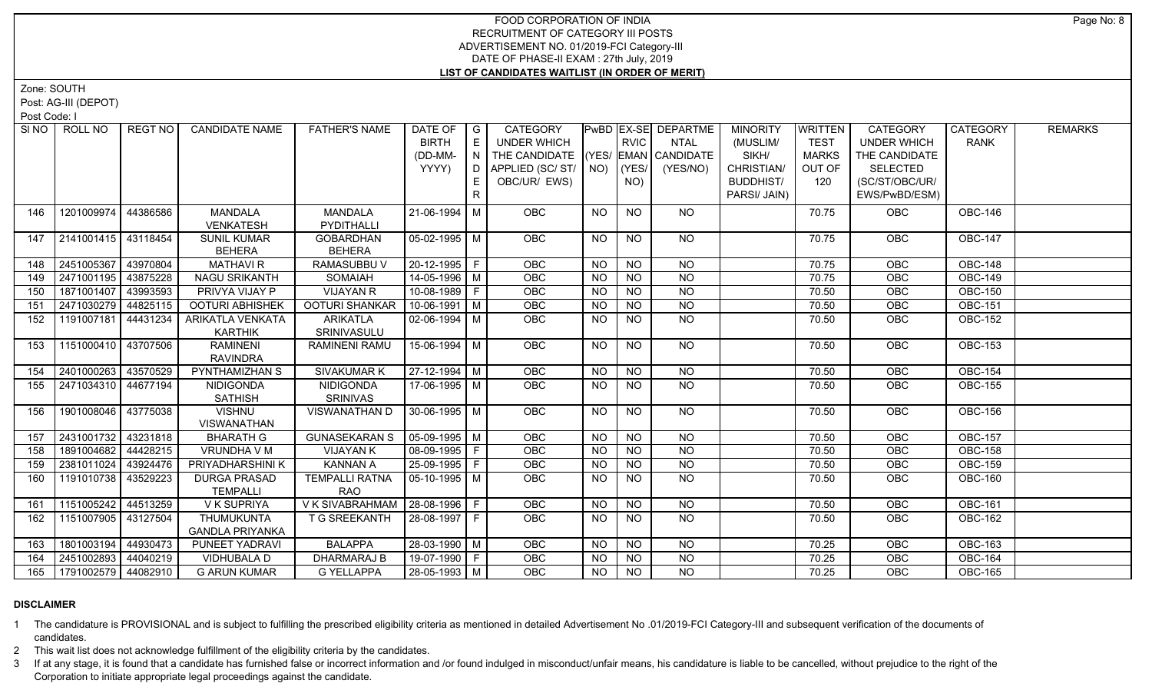Zone: SOUTH

Post: AG-III (DEPOT)

Post Code: I

|     | SINO ROLL NO          | REGT NO I | <b>CANDIDATE NAME</b>                | <b>FATHER'S NAME</b>                | DATE OF   G<br><b>BIRTH</b><br>(DD-MM-<br>YYYY) | E<br>N<br>D<br>$\mathsf{R}$ | CATEGORY<br>UNDER WHICH<br>THE CANDIDATE (YES/ EMAN CANDIDATE<br>APPLIED (SC/ST/<br>OBC/UR/ EWS) | NO)       | <b>RVIC</b><br>(YES/<br>NO) | <b>PwBD EX-SE DEPARTME</b><br><b>NTAL</b><br>(YES/NO) | <b>MINORITY</b><br>(MUSLIM/<br>SIKH/<br>CHRISTIAN/<br><b>BUDDHIST/</b><br>PARSI/ JAIN) | <b>WRITTEN</b><br><b>TEST</b><br><b>MARKS</b><br>OUT OF<br>120 | <b>CATEGORY</b><br><b>UNDER WHICH</b><br>THE CANDIDATE<br><b>SELECTED</b><br>(SC/ST/OBC/UR/<br>EWS/PwBD/ESM) | <b>CATEGORY</b><br><b>RANK</b> | <b>REMARKS</b> |
|-----|-----------------------|-----------|--------------------------------------|-------------------------------------|-------------------------------------------------|-----------------------------|--------------------------------------------------------------------------------------------------|-----------|-----------------------------|-------------------------------------------------------|----------------------------------------------------------------------------------------|----------------------------------------------------------------|--------------------------------------------------------------------------------------------------------------|--------------------------------|----------------|
| 146 | 1201009974            | 44386586  | <b>MANDALA</b><br><b>VENKATESH</b>   | <b>MANDALA</b><br>PYDITHALLI        | 21-06-1994   M                                  |                             | <b>OBC</b>                                                                                       | NO.       | <b>NO</b>                   | NO.                                                   |                                                                                        | 70.75                                                          | <b>OBC</b>                                                                                                   | <b>OBC-146</b>                 |                |
| 147 | 2141001415 43118454   |           | <b>SUNIL KUMAR</b><br><b>BEHERA</b>  | <b>GOBARDHAN</b><br><b>BEHERA</b>   | 05-02-1995   M                                  |                             | <b>OBC</b>                                                                                       | NO.       | NO.                         | NO.                                                   |                                                                                        | 70.75                                                          | <b>OBC</b>                                                                                                   | <b>OBC-147</b>                 |                |
| 148 | 2451005367            | 43970804  | <b>MATHAVI R</b>                     | RAMASUBBU V                         | $20-12-1995$ F                                  |                             | OBC                                                                                              | <b>NO</b> | <b>NO</b>                   | <b>NO</b>                                             |                                                                                        | 70.75                                                          | OBC                                                                                                          | <b>OBC-148</b>                 |                |
| 149 | 2471001195            | 43875228  | <b>NAGU SRIKANTH</b>                 | <b>SOMAIAH</b>                      | 14-05-1996   M                                  |                             | OBC                                                                                              | NO.       | <b>NO</b>                   | NO.                                                   |                                                                                        | 70.75                                                          | OBC                                                                                                          | <b>OBC-149</b>                 |                |
| 150 | 1871001407            | 43993593  | <b>PRIVYA VIJAY P</b>                | <b>VIJAYAN R</b>                    | $10-08-1989$ F                                  |                             | OBC                                                                                              | <b>NO</b> | $\overline{NO}$             | $\overline{NO}$                                       |                                                                                        | 70.50                                                          | OBC                                                                                                          | <b>OBC-150</b>                 |                |
| 151 | 2471030279            | 44825115  | <b>OOTURI ABHISHEK</b>               | <b>OOTURI SHANKAR</b>               | $10-06-1991$ M                                  |                             | OBC                                                                                              | <b>NO</b> | $\overline{NO}$             | $\overline{NO}$                                       |                                                                                        | 70.50                                                          | OBC                                                                                                          | <b>OBC-151</b>                 |                |
| 152 | 1191007181            | 44431234  | ARIKATLA VENKATA<br><b>KARTHIK</b>   | <b>ARIKATLA</b><br>SRINIVASULU      | $02-06-1994$ M                                  |                             | OBC                                                                                              | <b>NO</b> | <b>NO</b>                   | <b>NO</b>                                             |                                                                                        | 70.50                                                          | <b>OBC</b>                                                                                                   | <b>OBC-152</b>                 |                |
| 153 | 1151000410   43707506 |           | <b>RAMINENI</b><br><b>RAVINDRA</b>   | <b>RAMINENI RAMU</b>                | 15-06-1994 M                                    |                             | OBC                                                                                              | <b>NO</b> | <b>NO</b>                   | NO                                                    |                                                                                        | 70.50                                                          | <b>OBC</b>                                                                                                   | <b>OBC-153</b>                 |                |
| 154 | 2401000263            | 43570529  | PYNTHAMIZHAN S                       | <b>SIVAKUMARK</b>                   | $27-12-1994$ M                                  |                             | OBC                                                                                              | <b>NO</b> | <b>NO</b>                   | <b>NO</b>                                             |                                                                                        | 70.50                                                          | <b>OBC</b>                                                                                                   | <b>OBC-154</b>                 |                |
| 155 | 2471034310   44677194 |           | <b>NIDIGONDA</b><br><b>SATHISH</b>   | <b>NIDIGONDA</b><br><b>SRINIVAS</b> | 17-06-1995   M                                  |                             | <b>OBC</b>                                                                                       | NO.       | NO.                         | NO.                                                   |                                                                                        | 70.50                                                          | <b>OBC</b>                                                                                                   | <b>OBC-155</b>                 |                |
| 156 | 1901008046 43775038   |           | <b>VISHNU</b><br><b>VISWANATHAN</b>  | VISWANATHAN D                       | $30 - 06 - 1995$ M                              |                             | OBC                                                                                              | <b>NO</b> | <b>NO</b>                   | NO                                                    |                                                                                        | 70.50                                                          | OBC                                                                                                          | <b>OBC-156</b>                 |                |
| 157 | 2431001732            | 43231818  | <b>BHARATH G</b>                     | <b>GUNASEKARAN S</b>                | $05-09-1995$ M                                  |                             | OBC                                                                                              | <b>NO</b> | <b>NO</b>                   | <b>NO</b>                                             |                                                                                        | 70.50                                                          | OBC                                                                                                          | <b>OBC-157</b>                 |                |
| 158 | 1891004682 44428215   |           | VRUNDHA V M                          | <b>VIJAYAN K</b>                    | 08-09-1995   F                                  |                             | OBC                                                                                              | <b>NO</b> | <b>NO</b>                   | <b>NO</b>                                             |                                                                                        | 70.50                                                          | OBC                                                                                                          | <b>OBC-158</b>                 |                |
| 159 | 2381011024            | 43924476  | PRIYADHARSHINI K                     | <b>KANNAN A</b>                     | 25-09-1995 F                                    |                             | OBC                                                                                              | <b>NO</b> | <b>NO</b>                   | <b>NO</b>                                             |                                                                                        | 70.50                                                          | OBC                                                                                                          | <b>OBC-159</b>                 |                |
| 160 | 1191010738            | 43529223  | <b>DURGA PRASAD</b><br>TEMPALLI      | <b>TEMPALLI RATNA</b><br><b>RAO</b> | $05-10-1995$   M                                |                             | <b>OBC</b>                                                                                       | <b>NO</b> | <b>NO</b>                   | <b>NO</b>                                             |                                                                                        | 70.50                                                          | <b>OBC</b>                                                                                                   | <b>OBC-160</b>                 |                |
| 161 | 1151005242            | 44513259  | V K SUPRIYA                          | VKSIVABRAHMAM 28-08-1996   F        |                                                 |                             | OBC                                                                                              | <b>NO</b> | <b>NO</b>                   | <b>NO</b>                                             |                                                                                        | 70.50                                                          | <b>OBC</b>                                                                                                   | <b>OBC-161</b>                 |                |
| 162 | 1151007905 43127504   |           | THUMUKUNTA<br><b>GANDLA PRIYANKA</b> | T G SREEKANTH                       | 28-08-1997 F                                    |                             | <b>OBC</b>                                                                                       | NO.       | <b>NO</b>                   | NO.                                                   |                                                                                        | 70.50                                                          | <b>OBC</b>                                                                                                   | <b>OBC-162</b>                 |                |
| 163 | 1801003194            | 44930473  | PUNEET YADRAVI                       | <b>BALAPPA</b>                      | 28-03-1990   M                                  |                             | OBC                                                                                              | <b>NO</b> | <b>NO</b>                   | <b>NO</b>                                             |                                                                                        | 70.25                                                          | OBC                                                                                                          | OBC-163                        |                |
| 164 | 2451002893 44040219   |           | VIDHUBALA D                          | DHARMARAJ B                         | 19-07-1990 F                                    |                             | OBC                                                                                              | <b>NO</b> | <b>NO</b>                   | <b>NO</b>                                             |                                                                                        | 70.25                                                          | OBC                                                                                                          | <b>OBC-164</b>                 |                |
| 165 | 1791002579   44082910 |           | <b>G ARUN KUMAR</b>                  | <b>G YELLAPPA</b>                   | 28-05-1993 M                                    |                             | <b>OBC</b>                                                                                       | <b>NO</b> | N <sub>O</sub>              | NO.                                                   |                                                                                        | 70.25                                                          | OBC                                                                                                          | <b>OBC-165</b>                 |                |

# **DISCLAIMER**

1 The candidature is PROVISIONAL and is subject to fulfilling the prescribed eligibility criteria as mentioned in detailed Advertisement No .01/2019-FCI Category-III and subsequent verification of the documents of candidates.

2 This wait list does not acknowledge fulfillment of the eligibility criteria by the candidates.

3 If at any stage, it is found that a candidate has furnished false or incorrect information and /or found indulged in misconduct/unfair means, his candidature is liable to be cancelled, without prejudice to the right of t Corporation to initiate appropriate legal proceedings against the candidate.